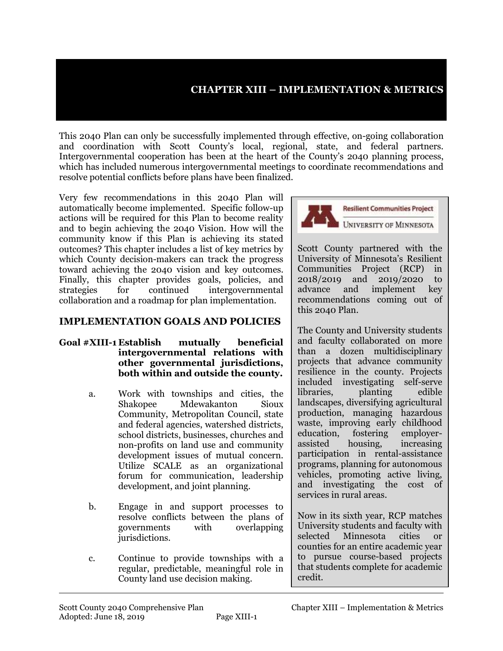### **CHAPTER XIII – IMPLEMENTATION & METRICS**

This 2040 Plan can only be successfully implemented through effective, on-going collaboration and coordination with Scott County's local, regional, state, and federal partners. Intergovernmental cooperation has been at the heart of the County's 2040 planning process, which has included numerous intergovernmental meetings to coordinate recommendations and resolve potential conflicts before plans have been finalized.

Very few recommendations in this 2040 Plan will automatically become implemented. Specific follow-up actions will be required for this Plan to become reality and to begin achieving the 2040 Vision. How will the community know if this Plan is achieving its stated outcomes? This chapter includes a list of key metrics by which County decision-makers can track the progress toward achieving the 2040 vision and key outcomes. Finally, this chapter provides goals, policies, and strategies for continued intergovernmental collaboration and a roadmap for plan implementation.

#### **IMPLEMENTATION GOALS AND POLICIES**

#### **Goal #XIII-1 Establish mutually beneficial intergovernmental relations with other governmental jurisdictions, both within and outside the county.**

- a. Work with townships and cities, the Shakopee Mdewakanton Sioux Community, Metropolitan Council, state and federal agencies, watershed districts, school districts, businesses, churches and non-profits on land use and community development issues of mutual concern. Utilize SCALE as an organizational forum for communication, leadership development, and joint planning.
- b. Engage in and support processes to resolve conflicts between the plans of governments with overlapping jurisdictions.
- c. Continue to provide townships with a regular, predictable, meaningful role in County land use decision making.



Scott County partnered with the University of Minnesota's Resilient Communities Project (RCP) in 2018/2019 and 2019/2020 to advance and implement key recommendations coming out of this 2040 Plan.

The County and University students and faculty collaborated on more than a dozen multidisciplinary projects that advance community resilience in the county. Projects included investigating self-serve libraries, planting edible landscapes, diversifying agricultural production, managing hazardous waste, improving early childhood education, fostering employerassisted housing, increasing participation in rental-assistance programs, planning for autonomous vehicles, promoting active living, and investigating the cost of services in rural areas.

Now in its sixth year, RCP matches University students and faculty with selected Minnesota cities or counties for an entire academic year to pursue course-based projects that students complete for academic credit.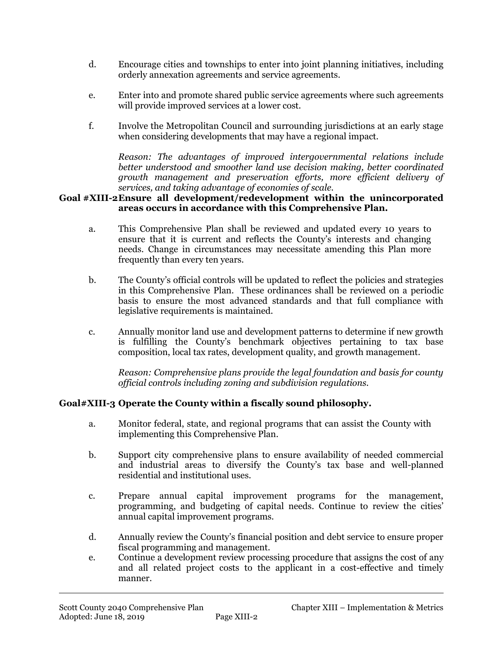- d. Encourage cities and townships to enter into joint planning initiatives, including orderly annexation agreements and service agreements.
- e. Enter into and promote shared public service agreements where such agreements will provide improved services at a lower cost.
- f. Involve the Metropolitan Council and surrounding jurisdictions at an early stage when considering developments that may have a regional impact.

*Reason: The advantages of improved intergovernmental relations include better understood and smoother land use decision making, better coordinated growth management and preservation efforts, more efficient delivery of services, and taking advantage of economies of scale.*

#### **Goal #XIII-2Ensure all development/redevelopment within the unincorporated areas occurs in accordance with this Comprehensive Plan.**

- a. This Comprehensive Plan shall be reviewed and updated every 10 years to ensure that it is current and reflects the County's interests and changing needs. Change in circumstances may necessitate amending this Plan more frequently than every ten years.
- b. The County's official controls will be updated to reflect the policies and strategies in this Comprehensive Plan. These ordinances shall be reviewed on a periodic basis to ensure the most advanced standards and that full compliance with legislative requirements is maintained.
- c. Annually monitor land use and development patterns to determine if new growth is fulfilling the County's benchmark objectives pertaining to tax base composition, local tax rates, development quality, and growth management.

*Reason: Comprehensive plans provide the legal foundation and basis for county official controls including zoning and subdivision regulations.* 

#### **Goal#XIII-3 Operate the County within a fiscally sound philosophy.**

- a. Monitor federal, state, and regional programs that can assist the County with implementing this Comprehensive Plan.
- b. Support city comprehensive plans to ensure availability of needed commercial and industrial areas to diversify the County's tax base and well-planned residential and institutional uses.
- c. Prepare annual capital improvement programs for the management, programming, and budgeting of capital needs. Continue to review the cities' annual capital improvement programs.
- d. Annually review the County's financial position and debt service to ensure proper fiscal programming and management.
- e. Continue a development review processing procedure that assigns the cost of any and all related project costs to the applicant in a cost-effective and timely manner.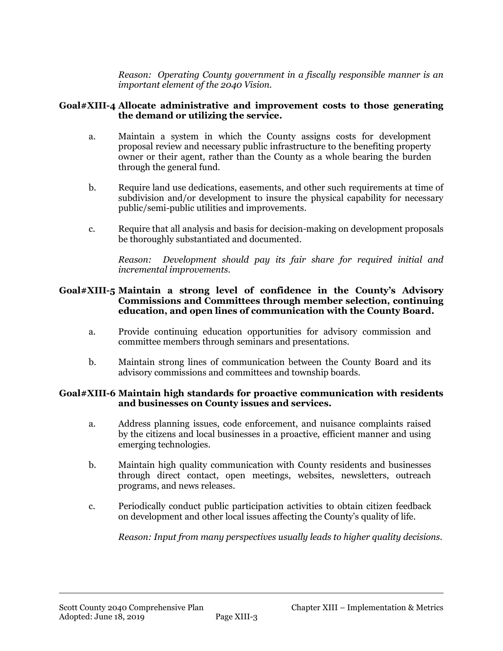*Reason: Operating County government in a fiscally responsible manner is an important element of the 2040 Vision.*

#### **Goal#XIII-4 Allocate administrative and improvement costs to those generating the demand or utilizing the service.**

- a. Maintain a system in which the County assigns costs for development proposal review and necessary public infrastructure to the benefiting property owner or their agent, rather than the County as a whole bearing the burden through the general fund.
- b. Require land use dedications, easements, and other such requirements at time of subdivision and/or development to insure the physical capability for necessary public/semi-public utilities and improvements.
- c. Require that all analysis and basis for decision-making on development proposals be thoroughly substantiated and documented.

*Reason: Development should pay its fair share for required initial and incremental improvements.*

#### **Goal#XIII-5 Maintain a strong level of confidence in the County's Advisory Commissions and Committees through member selection, continuing education, and open lines of communication with the County Board.**

- a. Provide continuing education opportunities for advisory commission and committee members through seminars and presentations.
- b. Maintain strong lines of communication between the County Board and its advisory commissions and committees and township boards.

#### **Goal#XIII-6 Maintain high standards for proactive communication with residents and businesses on County issues and services.**

- a. Address planning issues, code enforcement, and nuisance complaints raised by the citizens and local businesses in a proactive, efficient manner and using emerging technologies.
- b. Maintain high quality communication with County residents and businesses through direct contact, open meetings, websites, newsletters, outreach programs, and news releases.
- c. Periodically conduct public participation activities to obtain citizen feedback on development and other local issues affecting the County's quality of life.

*Reason: Input from many perspectives usually leads to higher quality decisions.*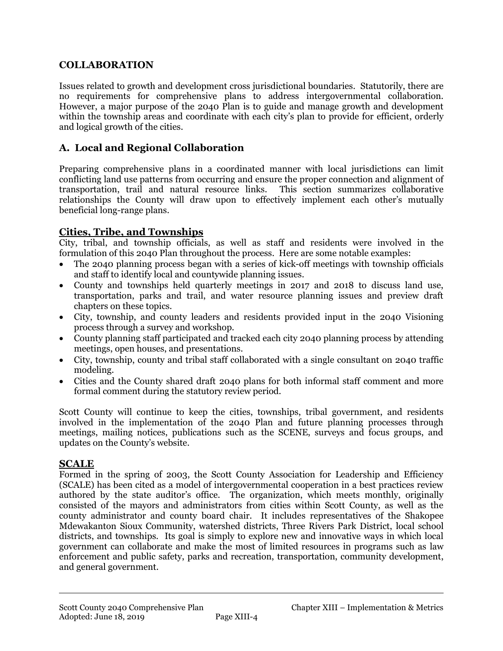# **COLLABORATION**

Issues related to growth and development cross jurisdictional boundaries. Statutorily, there are no requirements for comprehensive plans to address intergovernmental collaboration. However, a major purpose of the 2040 Plan is to guide and manage growth and development within the township areas and coordinate with each city's plan to provide for efficient, orderly and logical growth of the cities.

# **A. Local and Regional Collaboration**

Preparing comprehensive plans in a coordinated manner with local jurisdictions can limit conflicting land use patterns from occurring and ensure the proper connection and alignment of transportation, trail and natural resource links. This section summarizes collaborative relationships the County will draw upon to effectively implement each other's mutually beneficial long-range plans.

### **Cities, Tribe, and Townships**

City, tribal, and township officials, as well as staff and residents were involved in the formulation of this 2040 Plan throughout the process. Here are some notable examples:

- The 2040 planning process began with a series of kick-off meetings with township officials and staff to identify local and countywide planning issues.
- County and townships held quarterly meetings in 2017 and 2018 to discuss land use, transportation, parks and trail, and water resource planning issues and preview draft chapters on these topics.
- City, township, and county leaders and residents provided input in the 2040 Visioning process through a survey and workshop.
- County planning staff participated and tracked each city 2040 planning process by attending meetings, open houses, and presentations.
- City, township, county and tribal staff collaborated with a single consultant on 2040 traffic modeling.
- Cities and the County shared draft 2040 plans for both informal staff comment and more formal comment during the statutory review period.

Scott County will continue to keep the cities, townships, tribal government, and residents involved in the implementation of the 2040 Plan and future planning processes through meetings, mailing notices, publications such as the SCENE, surveys and focus groups, and updates on the County's website.

#### **SCALE**

Formed in the spring of 2003, the Scott County Association for Leadership and Efficiency (SCALE) has been cited as a model of intergovernmental cooperation in a best practices review authored by the state auditor's office. The organization, which meets monthly, originally consisted of the mayors and administrators from cities within Scott County, as well as the county administrator and county board chair. It includes representatives of the Shakopee Mdewakanton Sioux Community, watershed districts, Three Rivers Park District, local school districts, and townships. Its goal is simply to explore new and innovative ways in which local government can collaborate and make the most of limited resources in programs such as law enforcement and public safety, parks and recreation, transportation, community development, and general government.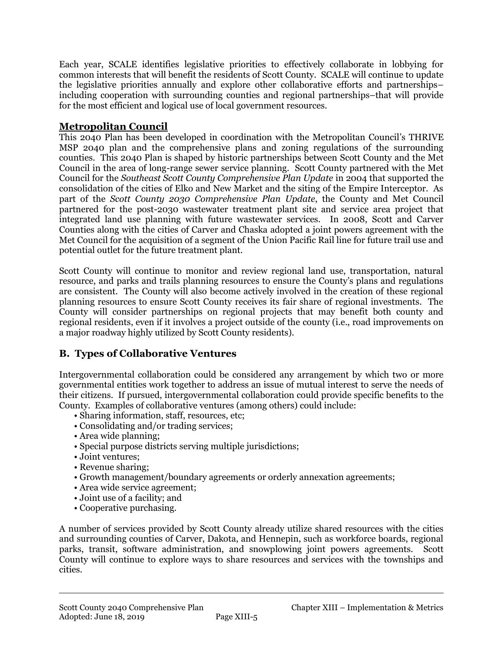Each year, SCALE identifies legislative priorities to effectively collaborate in lobbying for common interests that will benefit the residents of Scott County. SCALE will continue to update the legislative priorities annually and explore other collaborative efforts and partnerships– including cooperation with surrounding counties and regional partnerships–that will provide for the most efficient and logical use of local government resources.

### **Metropolitan Council**

This 2040 Plan has been developed in coordination with the Metropolitan Council's THRIVE MSP 2040 plan and the comprehensive plans and zoning regulations of the surrounding counties. This 2040 Plan is shaped by historic partnerships between Scott County and the Met Council in the area of long-range sewer service planning. Scott County partnered with the Met Council for the *Southeast Scott County Comprehensive Plan Update* in 2004 that supported the consolidation of the cities of Elko and New Market and the siting of the Empire Interceptor. As part of the *Scott County 2030 Comprehensive Plan Update*, the County and Met Council partnered for the post-2030 wastewater treatment plant site and service area project that integrated land use planning with future wastewater services. In 2008, Scott and Carver Counties along with the cities of Carver and Chaska adopted a joint powers agreement with the Met Council for the acquisition of a segment of the Union Pacific Rail line for future trail use and potential outlet for the future treatment plant.

Scott County will continue to monitor and review regional land use, transportation, natural resource, and parks and trails planning resources to ensure the County's plans and regulations are consistent. The County will also become actively involved in the creation of these regional planning resources to ensure Scott County receives its fair share of regional investments. The County will consider partnerships on regional projects that may benefit both county and regional residents, even if it involves a project outside of the county (i.e., road improvements on a major roadway highly utilized by Scott County residents).

# **B. Types of Collaborative Ventures**

Intergovernmental collaboration could be considered any arrangement by which two or more governmental entities work together to address an issue of mutual interest to serve the needs of their citizens. If pursued, intergovernmental collaboration could provide specific benefits to the County. Examples of collaborative ventures (among others) could include:

- Sharing information, staff, resources, etc;
- Consolidating and/or trading services;
- Area wide planning;
- Special purpose districts serving multiple jurisdictions;
- Joint ventures;
- Revenue sharing;
- Growth management/boundary agreements or orderly annexation agreements;
- Area wide service agreement;
- Joint use of a facility; and
- Cooperative purchasing.

A number of services provided by Scott County already utilize shared resources with the cities and surrounding counties of Carver, Dakota, and Hennepin, such as workforce boards, regional parks, transit, software administration, and snowplowing joint powers agreements. Scott County will continue to explore ways to share resources and services with the townships and cities.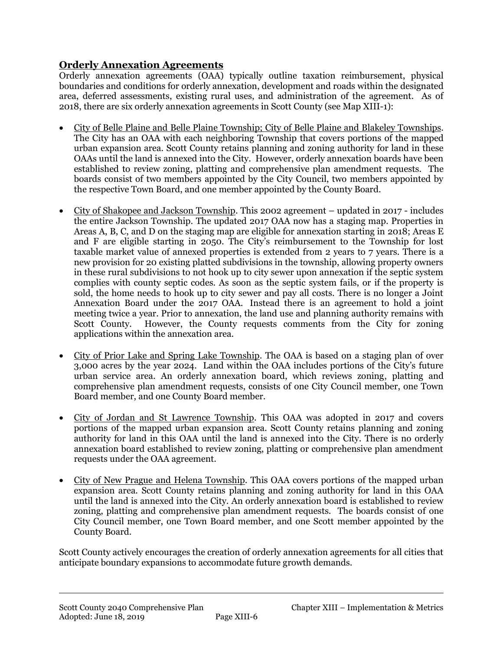### **Orderly Annexation Agreements**

Orderly annexation agreements (OAA) typically outline taxation reimbursement, physical boundaries and conditions for orderly annexation, development and roads within the designated area, deferred assessments, existing rural uses, and administration of the agreement. As of 2018, there are six orderly annexation agreements in Scott County (see Map XIII-1):

- City of Belle Plaine and Belle Plaine Township; City of Belle Plaine and Blakeley Townships. The City has an OAA with each neighboring Township that covers portions of the mapped urban expansion area. Scott County retains planning and zoning authority for land in these OAAs until the land is annexed into the City. However, orderly annexation boards have been established to review zoning, platting and comprehensive plan amendment requests. The boards consist of two members appointed by the City Council, two members appointed by the respective Town Board, and one member appointed by the County Board.
- City of Shakopee and Jackson Township. This 2002 agreement updated in 2017 includes the entire Jackson Township. The updated 2017 OAA now has a staging map. Properties in Areas A, B, C, and D on the staging map are eligible for annexation starting in 2018; Areas E and F are eligible starting in 2050. The City's reimbursement to the Township for lost taxable market value of annexed properties is extended from 2 years to 7 years. There is a new provision for 20 existing platted subdivisions in the township, allowing property owners in these rural subdivisions to not hook up to city sewer upon annexation if the septic system complies with county septic codes. As soon as the septic system fails, or if the property is sold, the home needs to hook up to city sewer and pay all costs. There is no longer a Joint Annexation Board under the 2017 OAA. Instead there is an agreement to hold a joint meeting twice a year. Prior to annexation, the land use and planning authority remains with Scott County. However, the County requests comments from the City for zoning applications within the annexation area.
- City of Prior Lake and Spring Lake Township. The OAA is based on a staging plan of over 3,000 acres by the year 2024. Land within the OAA includes portions of the City's future urban service area. An orderly annexation board, which reviews zoning, platting and comprehensive plan amendment requests, consists of one City Council member, one Town Board member, and one County Board member.
- City of Jordan and St Lawrence Township. This OAA was adopted in 2017 and covers portions of the mapped urban expansion area. Scott County retains planning and zoning authority for land in this OAA until the land is annexed into the City. There is no orderly annexation board established to review zoning, platting or comprehensive plan amendment requests under the OAA agreement.
- City of New Prague and Helena Township. This OAA covers portions of the mapped urban expansion area. Scott County retains planning and zoning authority for land in this OAA until the land is annexed into the City. An orderly annexation board is established to review zoning, platting and comprehensive plan amendment requests. The boards consist of one City Council member, one Town Board member, and one Scott member appointed by the County Board.

Scott County actively encourages the creation of orderly annexation agreements for all cities that anticipate boundary expansions to accommodate future growth demands.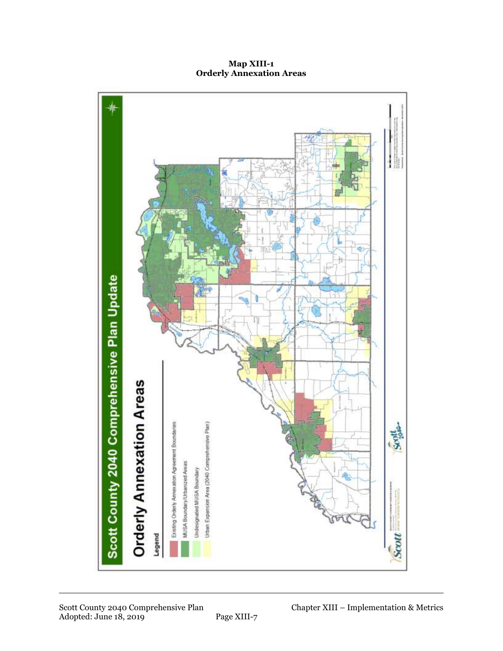**Map XIII-1 Orderly Annexation Areas**

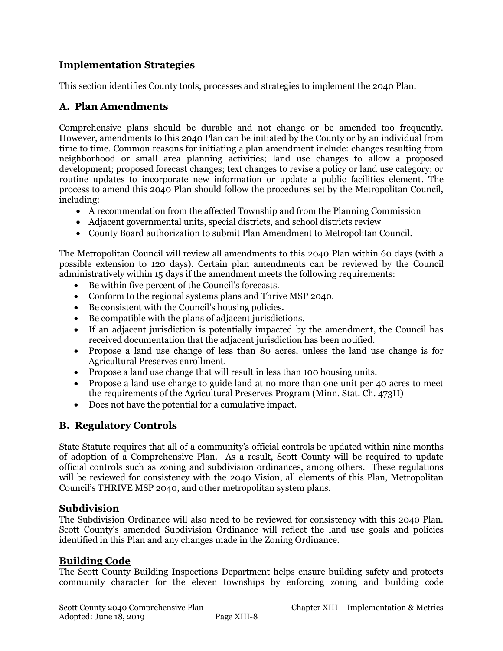# **Implementation Strategies**

This section identifies County tools, processes and strategies to implement the 2040 Plan.

### **A. Plan Amendments**

Comprehensive plans should be durable and not change or be amended too frequently. However, amendments to this 2040 Plan can be initiated by the County or by an individual from time to time. Common reasons for initiating a plan amendment include: changes resulting from neighborhood or small area planning activities; land use changes to allow a proposed development; proposed forecast changes; text changes to revise a policy or land use category; or routine updates to incorporate new information or update a public facilities element. The process to amend this 2040 Plan should follow the procedures set by the Metropolitan Council, including:

- A recommendation from the affected Township and from the Planning Commission
- Adjacent governmental units, special districts, and school districts review
- County Board authorization to submit Plan Amendment to Metropolitan Council.

The Metropolitan Council will review all amendments to this 2040 Plan within 60 days (with a possible extension to 120 days). Certain plan amendments can be reviewed by the Council administratively within 15 days if the amendment meets the following requirements:

- Be within five percent of the Council's forecasts.
- Conform to the regional systems plans and Thrive MSP 2040.
- Be consistent with the Council's housing policies.
- Be compatible with the plans of adjacent jurisdictions.
- If an adjacent jurisdiction is potentially impacted by the amendment, the Council has received documentation that the adjacent jurisdiction has been notified.
- Propose a land use change of less than 80 acres, unless the land use change is for Agricultural Preserves enrollment.
- Propose a land use change that will result in less than 100 housing units.
- Propose a land use change to guide land at no more than one unit per 40 acres to meet the requirements of the Agricultural Preserves Program (Minn. Stat. Ch. 473H)
- Does not have the potential for a cumulative impact.

### **B. Regulatory Controls**

State Statute requires that all of a community's official controls be updated within nine months of adoption of a Comprehensive Plan. As a result, Scott County will be required to update official controls such as zoning and subdivision ordinances, among others. These regulations will be reviewed for consistency with the 2040 Vision, all elements of this Plan, Metropolitan Council's THRIVE MSP 2040, and other metropolitan system plans.

#### **Subdivision**

The Subdivision Ordinance will also need to be reviewed for consistency with this 2040 Plan. Scott County's amended Subdivision Ordinance will reflect the land use goals and policies identified in this Plan and any changes made in the Zoning Ordinance.

#### **Building Code**

The Scott County Building Inspections Department helps ensure building safety and protects community character for the eleven townships by enforcing zoning and building code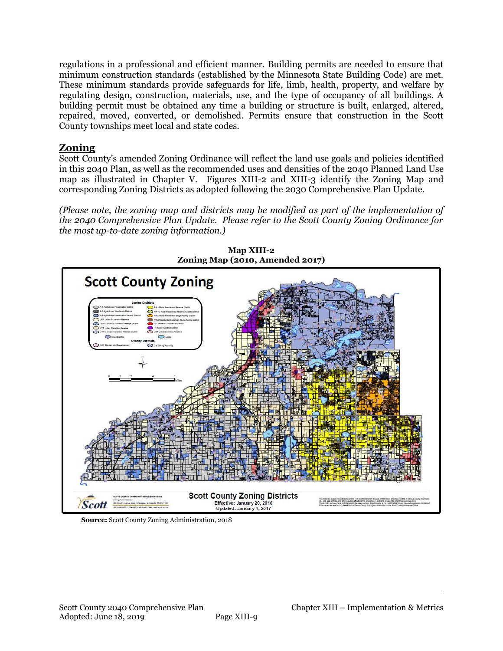regulations in a professional and efficient manner. Building permits are needed to ensure that minimum construction standards (established by the Minnesota State Building Code) are met. These minimum standards provide safeguards for life, limb, health, property, and welfare by regulating design, construction, materials, use, and the type of occupancy of all buildings. A building permit must be obtained any time a building or structure is built, enlarged, altered, repaired, moved, converted, or demolished. Permits ensure that construction in the Scott County townships meet local and state codes.

### **Zoning**

Scott County's amended Zoning Ordinance will reflect the land use goals and policies identified in this 2040 Plan, as well as the recommended uses and densities of the 2040 Planned Land Use map as illustrated in Chapter V. Figures XIII-2 and XIII-3 identify the Zoning Map and corresponding Zoning Districts as adopted following the 2030 Comprehensive Plan Update.

*(Please note, the zoning map and districts may be modified as part of the implementation of the 2040 Comprehensive Plan Update. Please refer to the Scott County Zoning Ordinance for the most up-to-date zoning information.)*



**Source:** Scott County Zoning Administration, 2018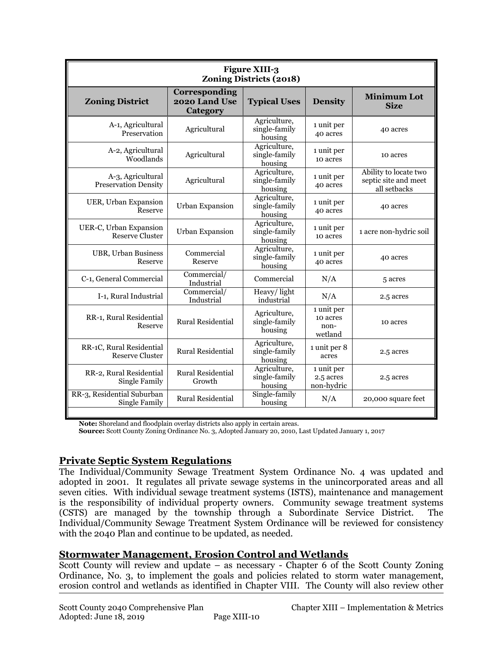| <b>Figure XIII-3</b><br><b>Zoning Districts (2018)</b> |                                            |                                          |                                           |                                                               |
|--------------------------------------------------------|--------------------------------------------|------------------------------------------|-------------------------------------------|---------------------------------------------------------------|
| <b>Zoning District</b>                                 | Corresponding<br>2020 Land Use<br>Category | <b>Typical Uses</b>                      | <b>Density</b>                            | <b>Minimum Lot</b><br><b>Size</b>                             |
| A-1, Agricultural<br>Preservation                      | Agricultural                               | Agriculture,<br>single-family<br>housing | 1 unit per<br>40 acres                    | 40 acres                                                      |
| A-2, Agricultural<br>Woodlands                         | Agricultural                               | Agriculture,<br>single-family<br>housing | 1 unit per<br>10 acres                    | 10 acres                                                      |
| A-3, Agricultural<br><b>Preservation Density</b>       | Agricultural                               | Agriculture,<br>single-family<br>housing | 1 unit per<br>40 acres                    | Ability to locate two<br>septic site and meet<br>all setbacks |
| UER, Urban Expansion<br>Reserve                        | Urban Expansion                            | Agriculture,<br>single-family<br>housing | 1 unit per<br>40 acres                    | 40 acres                                                      |
| UER-C, Urban Expansion<br><b>Reserve Cluster</b>       | Urban Expansion                            | Agriculture,<br>single-family<br>housing | 1 unit per<br>10 acres                    | 1 acre non-hydric soil                                        |
| UBR, Urban Business<br>Reserve                         | Commercial<br>Reserve                      | Agriculture,<br>single-family<br>housing | 1 unit per<br>40 acres                    | 40 acres                                                      |
| C-1, General Commercial                                | Commercial/<br>Industrial                  | Commercial                               | N/A                                       | 5 acres                                                       |
| I-1, Rural Industrial                                  | Commercial/<br>Industrial                  | Heavy/light<br>industrial                | N/A                                       | 2.5 acres                                                     |
| RR-1, Rural Residential<br>Reserve                     | <b>Rural Residential</b>                   | Agriculture,<br>single-family<br>housing | 1 unit per<br>10 acres<br>non-<br>wetland | 10 acres                                                      |
| RR-1C, Rural Residential<br><b>Reserve Cluster</b>     | Rural Residential                          | Agriculture,<br>single-family<br>housing | 1 unit per 8<br>acres                     | 2.5 acres                                                     |
| RR-2, Rural Residential<br>Single Family               | Rural Residential<br>Growth                | Agriculture,<br>single-family<br>housing | 1 unit per<br>2.5 acres<br>non-hydric     | 2.5 acres                                                     |
| RR-3, Residential Suburban<br>Single Family            | Rural Residential                          | Single-family<br>housing                 | N/A                                       | 20,000 square feet                                            |

**Note:** Shoreland and floodplain overlay districts also apply in certain areas.

**Source:** Scott County Zoning Ordinance No. 3, Adopted January 20, 2010, Last Updated January 1, 2017

#### **Private Septic System Regulations**

The Individual/Community Sewage Treatment System Ordinance No. 4 was updated and adopted in 2001. It regulates all private sewage systems in the unincorporated areas and all seven cities. With individual sewage treatment systems (ISTS), maintenance and management is the responsibility of individual property owners. Community sewage treatment systems (CSTS) are managed by the township through a Subordinate Service District. The Individual/Community Sewage Treatment System Ordinance will be reviewed for consistency with the 2040 Plan and continue to be updated, as needed.

#### **Stormwater Management, Erosion Control and Wetlands**

Scott County will review and update – as necessary - Chapter 6 of the Scott County Zoning Ordinance, No. 3, to implement the goals and policies related to storm water management, erosion control and wetlands as identified in Chapter VIII. The County will also review other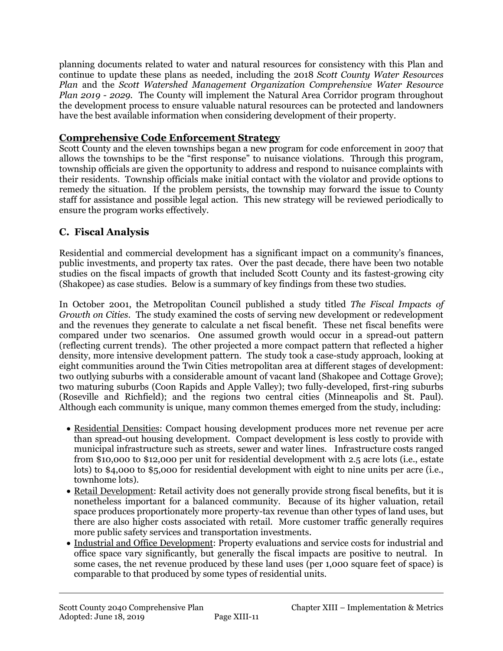planning documents related to water and natural resources for consistency with this Plan and continue to update these plans as needed, including the 2018 *Scott County Water Resources Plan* and the *Scott Watershed Management Organization Comprehensive Water Resource Plan 2019 - 2029*. The County will implement the Natural Area Corridor program throughout the development process to ensure valuable natural resources can be protected and landowners have the best available information when considering development of their property.

### **Comprehensive Code Enforcement Strategy**

Scott County and the eleven townships began a new program for code enforcement in 2007 that allows the townships to be the "first response" to nuisance violations. Through this program, township officials are given the opportunity to address and respond to nuisance complaints with their residents. Township officials make initial contact with the violator and provide options to remedy the situation. If the problem persists, the township may forward the issue to County staff for assistance and possible legal action. This new strategy will be reviewed periodically to ensure the program works effectively.

# **C. Fiscal Analysis**

Residential and commercial development has a significant impact on a community's finances, public investments, and property tax rates. Over the past decade, there have been two notable studies on the fiscal impacts of growth that included Scott County and its fastest-growing city (Shakopee) as case studies. Below is a summary of key findings from these two studies.

In October 2001, the Metropolitan Council published a study titled *The Fiscal Impacts of Growth on Cities*. The study examined the costs of serving new development or redevelopment and the revenues they generate to calculate a net fiscal benefit. These net fiscal benefits were compared under two scenarios. One assumed growth would occur in a spread-out pattern (reflecting current trends). The other projected a more compact pattern that reflected a higher density, more intensive development pattern. The study took a case-study approach, looking at eight communities around the Twin Cities metropolitan area at different stages of development: two outlying suburbs with a considerable amount of vacant land (Shakopee and Cottage Grove); two maturing suburbs (Coon Rapids and Apple Valley); two fully-developed, first-ring suburbs (Roseville and Richfield); and the regions two central cities (Minneapolis and St. Paul). Although each community is unique, many common themes emerged from the study, including:

- Residential Densities: Compact housing development produces more net revenue per acre than spread-out housing development. Compact development is less costly to provide with municipal infrastructure such as streets, sewer and water lines. Infrastructure costs ranged from \$10,000 to \$12,000 per unit for residential development with 2.5 acre lots (i.e., estate lots) to \$4,000 to \$5,000 for residential development with eight to nine units per acre (i.e., townhome lots).
- Retail Development: Retail activity does not generally provide strong fiscal benefits, but it is nonetheless important for a balanced community. Because of its higher valuation, retail space produces proportionately more property-tax revenue than other types of land uses, but there are also higher costs associated with retail. More customer traffic generally requires more public safety services and transportation investments.
- Industrial and Office Development: Property evaluations and service costs for industrial and office space vary significantly, but generally the fiscal impacts are positive to neutral. In some cases, the net revenue produced by these land uses (per 1,000 square feet of space) is comparable to that produced by some types of residential units.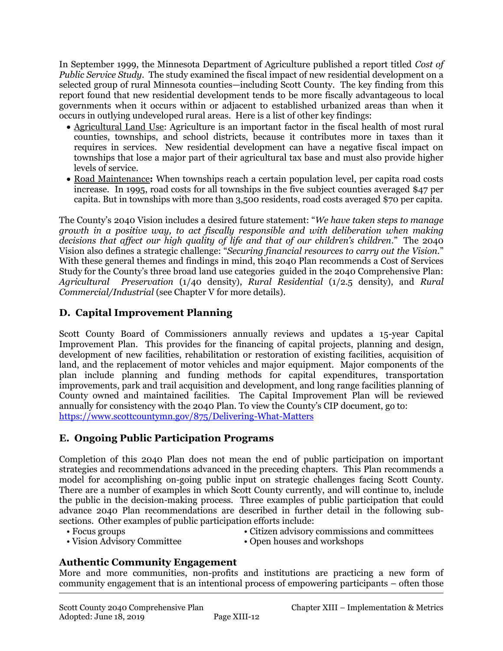In September 1999, the Minnesota Department of Agriculture published a report titled *Cost of Public Service Study*. The study examined the fiscal impact of new residential development on a selected group of rural Minnesota counties—including Scott County. The key finding from this report found that new residential development tends to be more fiscally advantageous to local governments when it occurs within or adjacent to established urbanized areas than when it occurs in outlying undeveloped rural areas. Here is a list of other key findings:

- Agricultural Land Use: Agriculture is an important factor in the fiscal health of most rural counties, townships, and school districts, because it contributes more in taxes than it requires in services. New residential development can have a negative fiscal impact on townships that lose a major part of their agricultural tax base and must also provide higher levels of service.
- Road Maintenance**:** When townships reach a certain population level, per capita road costs increase. In 1995, road costs for all townships in the five subject counties averaged \$47 per capita. But in townships with more than 3,500 residents, road costs averaged \$70 per capita.

The County's 2040 Vision includes a desired future statement: "*We have taken steps to manage growth in a positive way, to act fiscally responsible and with deliberation when making decisions that affect our high quality of life and that of our children's children.*" The 2040 Vision also defines a strategic challenge: "*Securing financial resources to carry out the Vision.*" With these general themes and findings in mind, this 2040 Plan recommends a Cost of Services Study for the County's three broad land use categories guided in the 2040 Comprehensive Plan: *Agricultural Preservation* (1/40 density), *Rural Residential* (1/2.5 density), and *Rural Commercial/Industrial* (see Chapter V for more details).

# **D. Capital Improvement Planning**

Scott County Board of Commissioners annually reviews and updates a 15-year Capital Improvement Plan. This provides for the financing of capital projects, planning and design, development of new facilities, rehabilitation or restoration of existing facilities, acquisition of land, and the replacement of motor vehicles and major equipment. Major components of the plan include planning and funding methods for capital expenditures, transportation improvements, park and trail acquisition and development, and long range facilities planning of County owned and maintained facilities. The Capital Improvement Plan will be reviewed annually for consistency with the 2040 Plan. To view the County's CIP document, go to: <https://www.scottcountymn.gov/875/Delivering-What-Matters>

# **E. Ongoing Public Participation Programs**

Completion of this 2040 Plan does not mean the end of public participation on important strategies and recommendations advanced in the preceding chapters. This Plan recommends a model for accomplishing on-going public input on strategic challenges facing Scott County. There are a number of examples in which Scott County currently, and will continue to, include the public in the decision-making process. Three examples of public participation that could advance 2040 Plan recommendations are described in further detail in the following subsections. Other examples of public participation efforts include:

- 
- Focus groups Citizen advisory commissions and committees
- Vision Advisory Committee Open houses and workshops
- 

# **Authentic Community Engagement**

More and more communities, non-profits and institutions are practicing a new form of community engagement that is an intentional process of empowering participants – often those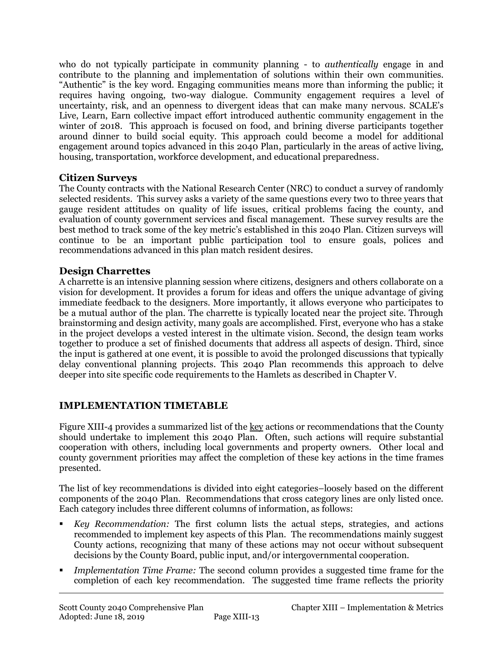who do not typically participate in community planning - to *authentically* engage in and contribute to the planning and implementation of solutions within their own communities. "Authentic" is the key word. Engaging communities means more than informing the public; it requires having ongoing, two-way dialogue. Community engagement requires a level of uncertainty, risk, and an openness to divergent ideas that can make many nervous. SCALE's Live, Learn, Earn collective impact effort introduced authentic community engagement in the winter of 2018. This approach is focused on food, and brining diverse participants together around dinner to build social equity. This approach could become a model for additional engagement around topics advanced in this 2040 Plan, particularly in the areas of active living, housing, transportation, workforce development, and educational preparedness.

### **Citizen Surveys**

The County contracts with the National Research Center (NRC) to conduct a survey of randomly selected residents. This survey asks a variety of the same questions every two to three years that gauge resident attitudes on quality of life issues, critical problems facing the county, and evaluation of county government services and fiscal management. These survey results are the best method to track some of the key metric's established in this 2040 Plan. Citizen surveys will continue to be an important public participation tool to ensure goals, polices and recommendations advanced in this plan match resident desires.

### **Design Charrettes**

A charrette is an intensive planning session where citizens, designers and others collaborate on a vision for development. It provides a forum for ideas and offers the unique advantage of giving immediate feedback to the designers. More importantly, it allows everyone who participates to be a mutual author of the plan. The charrette is typically located near the project site. Through brainstorming and design activity, many goals are accomplished. First, everyone who has a stake in the project develops a vested interest in the ultimate vision. Second, the design team works together to produce a set of finished documents that address all aspects of design. Third, since the input is gathered at one event, it is possible to avoid the prolonged discussions that typically delay conventional planning projects. This 2040 Plan recommends this approach to delve deeper into site specific code requirements to the Hamlets as described in Chapter V.

### **IMPLEMENTATION TIMETABLE**

Figure XIII-4 provides a summarized list of the key actions or recommendations that the County should undertake to implement this 2040 Plan. Often, such actions will require substantial cooperation with others, including local governments and property owners. Other local and county government priorities may affect the completion of these key actions in the time frames presented.

The list of key recommendations is divided into eight categories–loosely based on the different components of the 2040 Plan. Recommendations that cross category lines are only listed once. Each category includes three different columns of information, as follows:

- *Key Recommendation:* The first column lists the actual steps, strategies, and actions recommended to implement key aspects of this Plan. The recommendations mainly suggest County actions, recognizing that many of these actions may not occur without subsequent decisions by the County Board, public input, and/or intergovernmental cooperation.
- *Implementation Time Frame:* The second column provides a suggested time frame for the completion of each key recommendation. The suggested time frame reflects the priority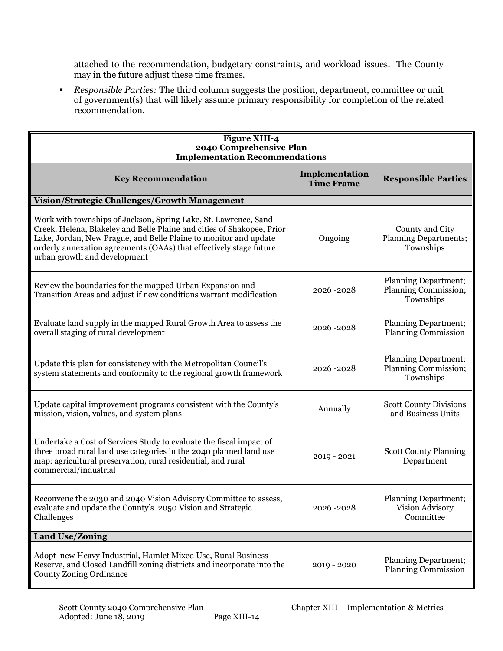attached to the recommendation, budgetary constraints, and workload issues. The County may in the future adjust these time frames.

 *Responsible Parties:* The third column suggests the position, department, committee or unit of government(s) that will likely assume primary responsibility for completion of the related recommendation.

| <b>Figure XIII-4</b><br>2040 Comprehensive Plan<br><b>Implementation Recommendations</b>                                                                                                                                                                                                                            |                                     |                                                                  |  |
|---------------------------------------------------------------------------------------------------------------------------------------------------------------------------------------------------------------------------------------------------------------------------------------------------------------------|-------------------------------------|------------------------------------------------------------------|--|
| <b>Key Recommendation</b>                                                                                                                                                                                                                                                                                           | Implementation<br><b>Time Frame</b> | <b>Responsible Parties</b>                                       |  |
| Vision/Strategic Challenges/Growth Management                                                                                                                                                                                                                                                                       |                                     |                                                                  |  |
| Work with townships of Jackson, Spring Lake, St. Lawrence, Sand<br>Creek, Helena, Blakeley and Belle Plaine and cities of Shakopee, Prior<br>Lake, Jordan, New Prague, and Belle Plaine to monitor and update<br>orderly annexation agreements (OAAs) that effectively stage future<br>urban growth and development | Ongoing                             | County and City<br><b>Planning Departments;</b><br>Townships     |  |
| Review the boundaries for the mapped Urban Expansion and<br>Transition Areas and adjust if new conditions warrant modification                                                                                                                                                                                      | 2026-2028                           | <b>Planning Department;</b><br>Planning Commission;<br>Townships |  |
| Evaluate land supply in the mapped Rural Growth Area to assess the<br>overall staging of rural development                                                                                                                                                                                                          | 2026-2028                           | <b>Planning Department;</b><br><b>Planning Commission</b>        |  |
| Update this plan for consistency with the Metropolitan Council's<br>system statements and conformity to the regional growth framework                                                                                                                                                                               | 2026-2028                           | <b>Planning Department;</b><br>Planning Commission;<br>Townships |  |
| Update capital improvement programs consistent with the County's<br>mission, vision, values, and system plans                                                                                                                                                                                                       | Annually                            | <b>Scott County Divisions</b><br>and Business Units              |  |
| Undertake a Cost of Services Study to evaluate the fiscal impact of<br>three broad rural land use categories in the 2040 planned land use<br>map: agricultural preservation, rural residential, and rural<br>commercial/industrial                                                                                  | $2019 - 2021$                       | <b>Scott County Planning</b><br>Department                       |  |
| Reconvene the 2030 and 2040 Vision Advisory Committee to assess,<br>evaluate and update the County's 2050 Vision and Strategic<br>Challenges                                                                                                                                                                        | 2026-2028                           | Planning Department;<br>Vision Advisory<br>Committee             |  |
| <b>Land Use/Zoning</b>                                                                                                                                                                                                                                                                                              |                                     |                                                                  |  |
| Adopt new Heavy Industrial, Hamlet Mixed Use, Rural Business<br>Reserve, and Closed Landfill zoning districts and incorporate into the<br><b>County Zoning Ordinance</b>                                                                                                                                            | 2019 - 2020                         | <b>Planning Department;</b><br><b>Planning Commission</b>        |  |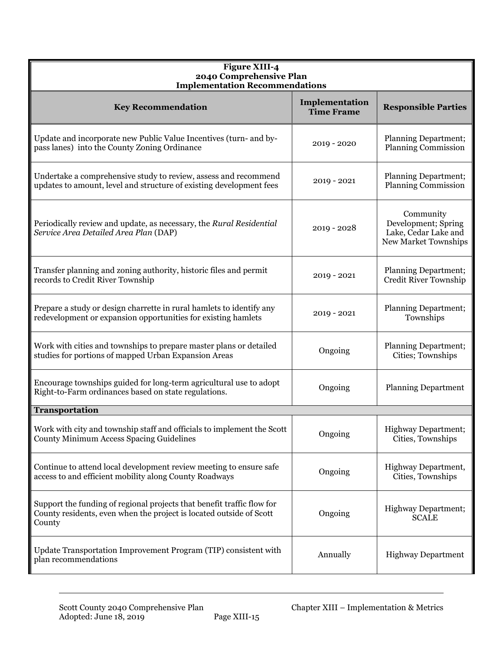| <b>Figure XIII-4</b><br>2040 Comprehensive Plan<br><b>Implementation Recommendations</b>                                                                |                                     |                                                                                  |  |
|---------------------------------------------------------------------------------------------------------------------------------------------------------|-------------------------------------|----------------------------------------------------------------------------------|--|
| <b>Key Recommendation</b>                                                                                                                               | Implementation<br><b>Time Frame</b> | <b>Responsible Parties</b>                                                       |  |
| Update and incorporate new Public Value Incentives (turn- and by-<br>pass lanes) into the County Zoning Ordinance                                       | $2019 - 2020$                       | Planning Department;<br><b>Planning Commission</b>                               |  |
| Undertake a comprehensive study to review, assess and recommend<br>updates to amount, level and structure of existing development fees                  | $2019 - 2021$                       | Planning Department;<br><b>Planning Commission</b>                               |  |
| Periodically review and update, as necessary, the Rural Residential<br>Service Area Detailed Area Plan (DAP)                                            | 2019 - 2028                         | Community<br>Development; Spring<br>Lake, Cedar Lake and<br>New Market Townships |  |
| Transfer planning and zoning authority, historic files and permit<br>records to Credit River Township                                                   | 2019 - 2021                         | Planning Department;<br>Credit River Township                                    |  |
| Prepare a study or design charrette in rural hamlets to identify any<br>redevelopment or expansion opportunities for existing hamlets                   | 2019 - 2021                         | Planning Department;<br>Townships                                                |  |
| Work with cities and townships to prepare master plans or detailed<br>studies for portions of mapped Urban Expansion Areas                              | Ongoing                             | Planning Department;<br>Cities; Townships                                        |  |
| Encourage townships guided for long-term agricultural use to adopt<br>Right-to-Farm ordinances based on state regulations.                              | Ongoing                             | <b>Planning Department</b>                                                       |  |
| <b>Transportation</b>                                                                                                                                   |                                     |                                                                                  |  |
| Work with city and township staff and officials to implement the Scott<br>County Minimum Access Spacing Guidelines                                      | Ongoing                             | <b>Highway Department;</b><br>Cities, Townships                                  |  |
| Continue to attend local development review meeting to ensure safe<br>access to and efficient mobility along County Roadways                            | Ongoing                             | Highway Department,<br>Cities, Townships                                         |  |
| Support the funding of regional projects that benefit traffic flow for<br>County residents, even when the project is located outside of Scott<br>County | Ongoing                             | Highway Department;<br><b>SCALE</b>                                              |  |
| Update Transportation Improvement Program (TIP) consistent with<br>plan recommendations                                                                 | Annually                            | <b>Highway Department</b>                                                        |  |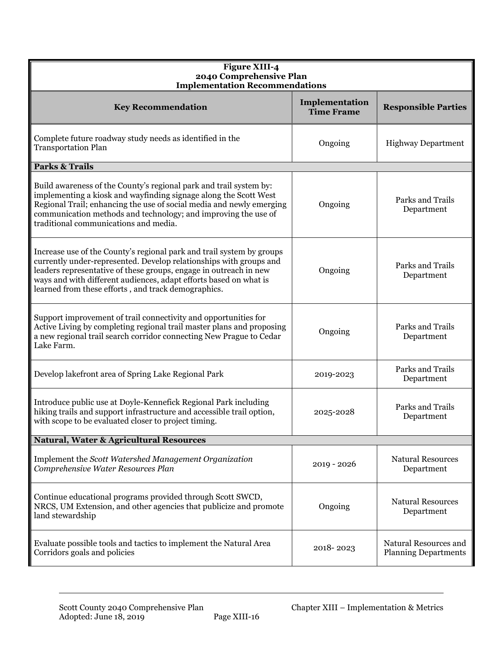| <b>Figure XIII-4</b><br>2040 Comprehensive Plan<br><b>Implementation Recommendations</b>                                                                                                                                                                                                                                                     |                                     |                                                      |  |
|----------------------------------------------------------------------------------------------------------------------------------------------------------------------------------------------------------------------------------------------------------------------------------------------------------------------------------------------|-------------------------------------|------------------------------------------------------|--|
| <b>Key Recommendation</b>                                                                                                                                                                                                                                                                                                                    | Implementation<br><b>Time Frame</b> | <b>Responsible Parties</b>                           |  |
| Complete future roadway study needs as identified in the<br><b>Transportation Plan</b>                                                                                                                                                                                                                                                       | Ongoing                             | <b>Highway Department</b>                            |  |
| <b>Parks &amp; Trails</b>                                                                                                                                                                                                                                                                                                                    |                                     |                                                      |  |
| Build awareness of the County's regional park and trail system by:<br>implementing a kiosk and wayfinding signage along the Scott West<br>Regional Trail; enhancing the use of social media and newly emerging<br>communication methods and technology; and improving the use of<br>traditional communications and media.                    | Ongoing                             | Parks and Trails<br>Department                       |  |
| Increase use of the County's regional park and trail system by groups<br>currently under-represented. Develop relationships with groups and<br>leaders representative of these groups, engage in outreach in new<br>ways and with different audiences, adapt efforts based on what is<br>learned from these efforts, and track demographics. | Ongoing                             | Parks and Trails<br>Department                       |  |
| Support improvement of trail connectivity and opportunities for<br>Active Living by completing regional trail master plans and proposing<br>a new regional trail search corridor connecting New Prague to Cedar<br>Lake Farm.                                                                                                                | Ongoing                             | Parks and Trails<br>Department                       |  |
| Develop lakefront area of Spring Lake Regional Park                                                                                                                                                                                                                                                                                          | 2019-2023                           | Parks and Trails<br>Department                       |  |
| Introduce public use at Doyle-Kennefick Regional Park including<br>hiking trails and support infrastructure and accessible trail option,<br>with scope to be evaluated closer to project timing.                                                                                                                                             | 2025-2028                           | Parks and Trails<br>Department                       |  |
| <b>Natural, Water &amp; Agricultural Resources</b>                                                                                                                                                                                                                                                                                           |                                     |                                                      |  |
| Implement the Scott Watershed Management Organization<br>Comprehensive Water Resources Plan                                                                                                                                                                                                                                                  | 2019 - 2026                         | <b>Natural Resources</b><br>Department               |  |
| Continue educational programs provided through Scott SWCD,<br>NRCS, UM Extension, and other agencies that publicize and promote<br>land stewardship                                                                                                                                                                                          | Ongoing                             | <b>Natural Resources</b><br>Department               |  |
| Evaluate possible tools and tactics to implement the Natural Area<br>Corridors goals and policies                                                                                                                                                                                                                                            | 2018-2023                           | Natural Resources and<br><b>Planning Departments</b> |  |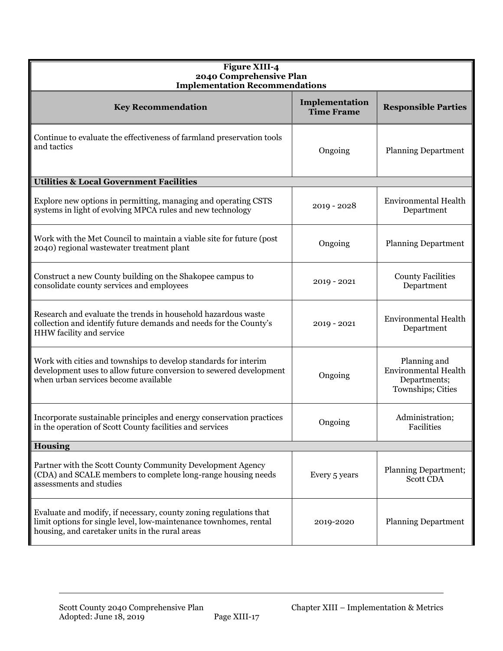| <b>Figure XIII-4</b><br>2040 Comprehensive Plan<br><b>Implementation Recommendations</b>                                                                                                  |                                     |                                                                                  |  |
|-------------------------------------------------------------------------------------------------------------------------------------------------------------------------------------------|-------------------------------------|----------------------------------------------------------------------------------|--|
| <b>Key Recommendation</b>                                                                                                                                                                 | Implementation<br><b>Time Frame</b> | <b>Responsible Parties</b>                                                       |  |
| Continue to evaluate the effectiveness of farmland preservation tools<br>and tactics                                                                                                      | Ongoing                             | <b>Planning Department</b>                                                       |  |
| <b>Utilities &amp; Local Government Facilities</b>                                                                                                                                        |                                     |                                                                                  |  |
| Explore new options in permitting, managing and operating CSTS<br>systems in light of evolving MPCA rules and new technology                                                              | 2019 - 2028                         | <b>Environmental Health</b><br>Department                                        |  |
| Work with the Met Council to maintain a viable site for future (post<br>2040) regional wastewater treatment plant                                                                         | Ongoing                             | <b>Planning Department</b>                                                       |  |
| Construct a new County building on the Shakopee campus to<br>consolidate county services and employees                                                                                    | $2019 - 2021$                       | <b>County Facilities</b><br>Department                                           |  |
| Research and evaluate the trends in household hazardous waste<br>collection and identify future demands and needs for the County's<br>HHW facility and service                            | $2019 - 2021$                       | <b>Environmental Health</b><br>Department                                        |  |
| Work with cities and townships to develop standards for interim<br>development uses to allow future conversion to sewered development<br>when urban services become available             | Ongoing                             | Planning and<br><b>Environmental Health</b><br>Departments;<br>Townships; Cities |  |
| Incorporate sustainable principles and energy conservation practices<br>in the operation of Scott County facilities and services                                                          | Ongoing                             | Administration;<br>Facilities                                                    |  |
| <b>Housing</b>                                                                                                                                                                            |                                     |                                                                                  |  |
| Partner with the Scott County Community Development Agency<br>(CDA) and SCALE members to complete long-range housing needs<br>assessments and studies                                     | Every 5 years                       | <b>Planning Department;</b><br><b>Scott CDA</b>                                  |  |
| Evaluate and modify, if necessary, county zoning regulations that<br>limit options for single level, low-maintenance townhomes, rental<br>housing, and caretaker units in the rural areas | 2019-2020                           | <b>Planning Department</b>                                                       |  |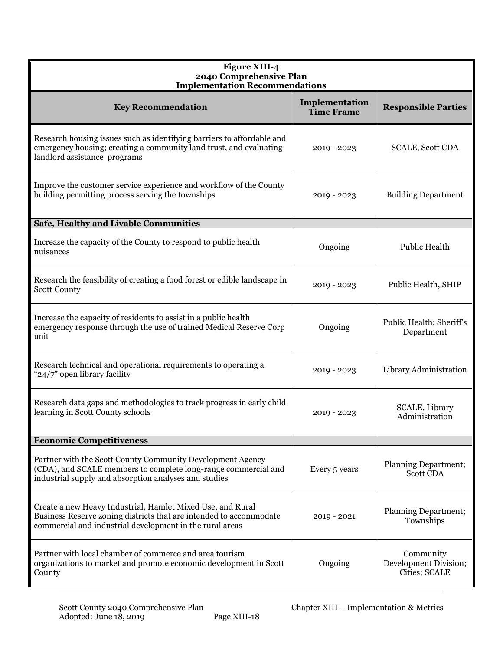| <b>Figure XIII-4</b><br>2040 Comprehensive Plan<br><b>Implementation Recommendations</b>                                                                                                     |                                     |                                                     |  |
|----------------------------------------------------------------------------------------------------------------------------------------------------------------------------------------------|-------------------------------------|-----------------------------------------------------|--|
| <b>Key Recommendation</b>                                                                                                                                                                    | Implementation<br><b>Time Frame</b> | <b>Responsible Parties</b>                          |  |
| Research housing issues such as identifying barriers to affordable and<br>emergency housing; creating a community land trust, and evaluating<br>landlord assistance programs                 | 2019 - 2023                         | <b>SCALE, Scott CDA</b>                             |  |
| Improve the customer service experience and workflow of the County<br>building permitting process serving the townships                                                                      | $2019 - 2023$                       | <b>Building Department</b>                          |  |
| <b>Safe, Healthy and Livable Communities</b>                                                                                                                                                 |                                     |                                                     |  |
| Increase the capacity of the County to respond to public health<br>nuisances                                                                                                                 | Ongoing                             | <b>Public Health</b>                                |  |
| Research the feasibility of creating a food forest or edible landscape in<br><b>Scott County</b>                                                                                             | $2019 - 2023$                       | Public Health, SHIP                                 |  |
| Increase the capacity of residents to assist in a public health<br>emergency response through the use of trained Medical Reserve Corp<br>unit                                                | Ongoing                             | Public Health; Sheriff's<br>Department              |  |
| Research technical and operational requirements to operating a<br>"24/7" open library facility                                                                                               | $2019 - 2023$                       | Library Administration                              |  |
| Research data gaps and methodologies to track progress in early child<br>learning in Scott County schools                                                                                    | $2019 - 2023$                       | SCALE, Library<br>Administration                    |  |
| <b>Economic Competitiveness</b>                                                                                                                                                              |                                     |                                                     |  |
| Partner with the Scott County Community Development Agency<br>(CDA), and SCALE members to complete long-range commercial and<br>industrial supply and absorption analyses and studies        | Every 5 years                       | Planning Department;<br><b>Scott CDA</b>            |  |
| Create a new Heavy Industrial, Hamlet Mixed Use, and Rural<br>Business Reserve zoning districts that are intended to accommodate<br>commercial and industrial development in the rural areas | $2019 - 2021$                       | Planning Department;<br>Townships                   |  |
| Partner with local chamber of commerce and area tourism<br>organizations to market and promote economic development in Scott<br>County                                                       | Ongoing                             | Community<br>Development Division;<br>Cities; SCALE |  |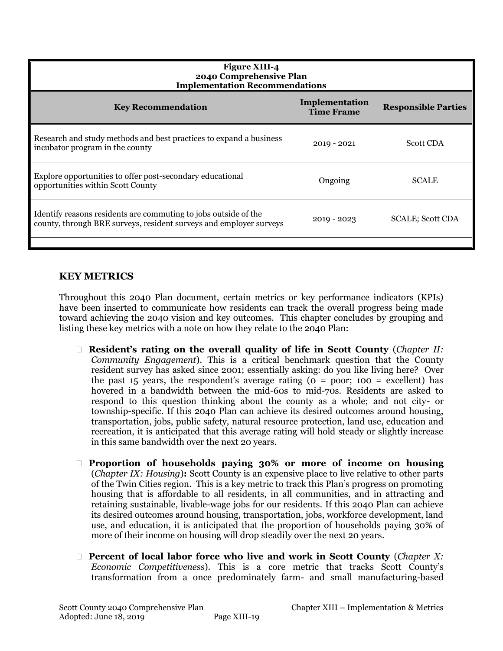| Implementation<br><b>Time Frame</b> | <b>Responsible Parties</b> |
|-------------------------------------|----------------------------|
| $2019 - 2021$                       | <b>Scott CDA</b>           |
| Ongoing                             | <b>SCALE</b>               |
| 2019 - 2023                         | <b>SCALE; Scott CDA</b>    |
|                                     |                            |

### **KEY METRICS**

Throughout this 2040 Plan document, certain metrics or key performance indicators (KPIs) have been inserted to communicate how residents can track the overall progress being made toward achieving the 2040 vision and key outcomes. This chapter concludes by grouping and listing these key metrics with a note on how they relate to the 2040 Plan:

- **Resident's rating on the overall quality of life in Scott County** (*Chapter II: Community Engagement*). This is a critical benchmark question that the County resident survey has asked since 2001; essentially asking: do you like living here? Over the past 15 years, the respondent's average rating  $(0 = poor; 100 = excellent)$  has hovered in a bandwidth between the mid-60s to mid-70s. Residents are asked to respond to this question thinking about the county as a whole; and not city- or township-specific. If this 2040 Plan can achieve its desired outcomes around housing, transportation, jobs, public safety, natural resource protection, land use, education and recreation, it is anticipated that this average rating will hold steady or slightly increase in this same bandwidth over the next 20 years.
- **Proportion of households paying 30% or more of income on housing** (*Chapter IX: Housing*)**:** Scott County is an expensive place to live relative to other parts of the Twin Cities region. This is a key metric to track this Plan's progress on promoting housing that is affordable to all residents, in all communities, and in attracting and retaining sustainable, livable-wage jobs for our residents. If this 2040 Plan can achieve its desired outcomes around housing, transportation, jobs, workforce development, land use, and education, it is anticipated that the proportion of households paying 30% of more of their income on housing will drop steadily over the next 20 years.
- **Percent of local labor force who live and work in Scott County** (*Chapter X: Economic Competitiveness*). This is a core metric that tracks Scott County's transformation from a once predominately farm- and small manufacturing-based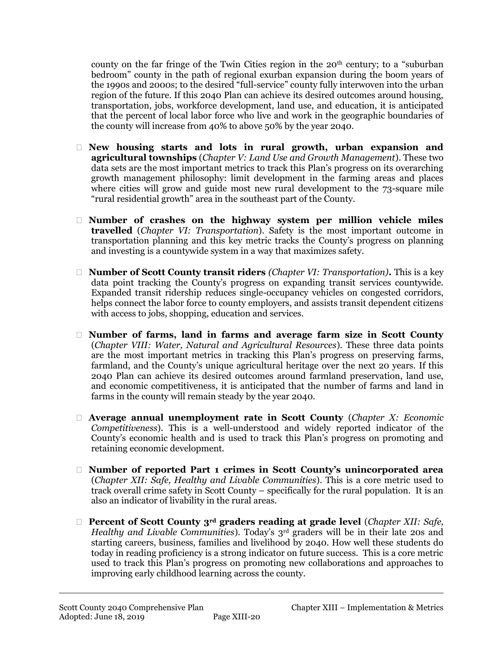county on the far fringe of the Twin Cities region in the 20th century; to a "suburban bedroom" county in the path of regional exurban expansion during the boom years of the 1990s and 2000s; to the desired "full-service" county fully interwoven into the urban region of the future. If this 2040 Plan can achieve its desired outcomes around housing, transportation, jobs, workforce development, land use, and education, it is anticipated that the percent of local labor force who live and work in the geographic boundaries of the county will increase from 40% to above 50% by the year 2040.

- **New housing starts and lots in rural growth, urban expansion and agricultural townships** (*Chapter V: Land Use and Growth Management*). These two data sets are the most important metrics to track this Plan's progress on its overarching growth management philosophy: limit development in the farming areas and places where cities will grow and guide most new rural development to the 73-square mile "rural residential growth" area in the southeast part of the County.
- **Number of crashes on the highway system per million vehicle miles travelled** (*Chapter VI: Transportation*). Safety is the most important outcome in transportation planning and this key metric tracks the County's progress on planning and investing is a countywide system in a way that maximizes safety.
- **Number of Scott County transit riders** *(Chapter VI: Transportation)***.** This is a key data point tracking the County's progress on expanding transit services countywide. Expanded transit ridership reduces single-occupancy vehicles on congested corridors, helps connect the labor force to county employers, and assists transit dependent citizens with access to jobs, shopping, education and services.
- **Number of farms, land in farms and average farm size in Scott County** (*Chapter VIII: Water, Natural and Agricultural Resources*). These three data points are the most important metrics in tracking this Plan's progress on preserving farms, farmland, and the County's unique agricultural heritage over the next 20 years. If this 2040 Plan can achieve its desired outcomes around farmland preservation, land use, and economic competitiveness, it is anticipated that the number of farms and land in farms in the county will remain steady by the year 2040.
- **Average annual unemployment rate in Scott County** (*Chapter X: Economic Competitiveness*). This is a well-understood and widely reported indicator of the County's economic health and is used to track this Plan's progress on promoting and retaining economic development.
- **Number of reported Part 1 crimes in Scott County's unincorporated area** (*Chapter XII: Safe, Healthy and Livable Communities*). This is a core metric used to track overall crime safety in Scott County – specifically for the rural population. It is an also an indicator of livability in the rural areas.
- **Percent of Scott County 3rd graders reading at grade level** (*Chapter XII: Safe, Healthy and Livable Communities*). Today's 3<sup>rd</sup> graders will be in their late 20s and starting careers, business, families and livelihood by 2040. How well these students do today in reading proficiency is a strong indicator on future success. This is a core metric used to track this Plan's progress on promoting new collaborations and approaches to improving early childhood learning across the county.